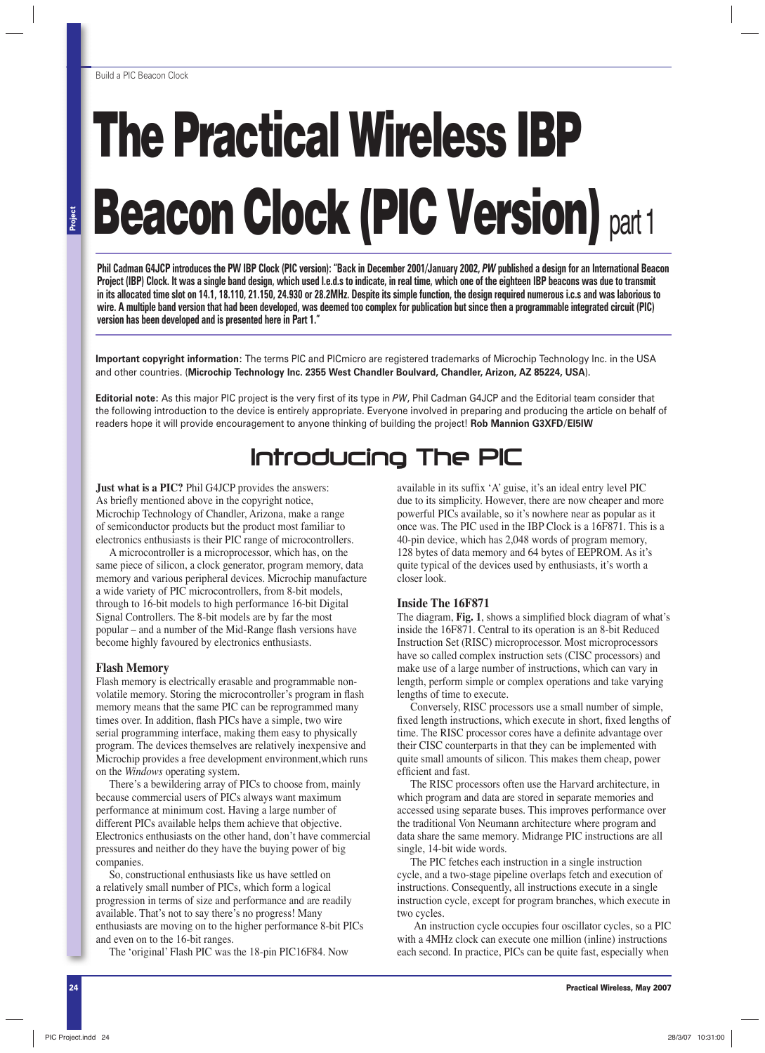# **The Practical Wireless IBP Beacon Clock (PIC Version)** part 1

Phil Cadman G4JCP introduces the PW IBP Clock (PIC version): "Back in December 2001/January 2002, PW published a design for an International Beacon **Project (IBP) Clock. It was a single band design, which used l.e.d.s to indicate, in real time, which one of the eighteen IBP beacons was due to transmit in its allocated time slot on 14.1, 18.110, 21.150, 24.930 or 28.2MHz. Despite its simple function, the design required numerous i.c.s and was laborious to wire. A multiple band version that had been developed, was deemed too complex for publication but since then a programmable integrated circuit (PIC) version has been developed and is presented here in Part 1."**

**Important copyright information:** The terms PIC and PICmicro are registered trademarks of Microchip Technology Inc. in the USA and other countries. (**Microchip Technology Inc. 2355 West Chandler Boulvard, Chandler, Arizon, AZ 85224, USA**).

**Editorial note:** As this major PIC project is the very first of its type in PW, Phil Cadman G4JCP and the Editorial team consider that the following introduction to the device is entirely appropriate. Everyone involved in preparing and producing the article on behalf of readers hope it will provide encouragement to anyone thinking of building the project! **Rob Mannion G3XFD/EI5IW**

### Introducing The PIC

**Just what is a PIC?** Phil G4JCP provides the answers: As briefly mentioned above in the copyright notice, Microchip Technology of Chandler, Arizona, make a range of semiconductor products but the product most familiar to electronics enthusiasts is their PIC range of microcontrollers.

A microcontroller is a microprocessor, which has, on the same piece of silicon, a clock generator, program memory, data memory and various peripheral devices. Microchip manufacture a wide variety of PIC microcontrollers, from 8-bit models, through to 16-bit models to high performance 16-bit Digital Signal Controllers. The 8-bit models are by far the most popular – and a number of the Mid-Range flash versions have become highly favoured by electronics enthusiasts.

#### **Flash Memory**

Flash memory is electrically erasable and programmable nonvolatile memory. Storing the microcontroller's program in flash memory means that the same PIC can be reprogrammed many times over. In addition, flash PICs have a simple, two wire serial programming interface, making them easy to physically program. The devices themselves are relatively inexpensive and Microchip provides a free development environment,which runs on the *Windows* operating system.

There's a bewildering array of PICs to choose from, mainly because commercial users of PICs always want maximum performance at minimum cost. Having a large number of different PICs available helps them achieve that objective. Electronics enthusiasts on the other hand, don't have commercial pressures and neither do they have the buying power of big companies.

So, constructional enthusiasts like us have settled on a relatively small number of PICs, which form a logical progression in terms of size and performance and are readily available. That's not to say there's no progress! Many enthusiasts are moving on to the higher performance 8-bit PICs and even on to the 16-bit ranges.

The 'original' Flash PIC was the 18-pin PIC16F84. Now

available in its suffix 'A' guise, it's an ideal entry level PIC due to its simplicity. However, there are now cheaper and more powerful PICs available, so it's nowhere near as popular as it once was. The PIC used in the IBP Clock is a 16F871. This is a 40-pin device, which has 2,048 words of program memory, 128 bytes of data memory and 64 bytes of EEPROM. As it's quite typical of the devices used by enthusiasts, it's worth a closer look.

#### **Inside The 16F871**

The diagram, Fig. 1, shows a simplified block diagram of what's inside the 16F871. Central to its operation is an 8-bit Reduced Instruction Set (RISC) microprocessor. Most microprocessors have so called complex instruction sets (CISC processors) and make use of a large number of instructions, which can vary in length, perform simple or complex operations and take varying lengths of time to execute.

Conversely, RISC processors use a small number of simple, fixed length instructions, which execute in short, fixed lengths of time. The RISC processor cores have a definite advantage over their CISC counterparts in that they can be implemented with quite small amounts of silicon. This makes them cheap, power efficient and fast.

The RISC processors often use the Harvard architecture, in which program and data are stored in separate memories and accessed using separate buses. This improves performance over the traditional Von Neumann architecture where program and data share the same memory. Midrange PIC instructions are all single, 14-bit wide words.

The PIC fetches each instruction in a single instruction cycle, and a two-stage pipeline overlaps fetch and execution of instructions. Consequently, all instructions execute in a single instruction cycle, except for program branches, which execute in two cycles.

An instruction cycle occupies four oscillator cycles, so a PIC with a 4MHz clock can execute one million (inline) instructions each second. In practice, PICs can be quite fast, especially when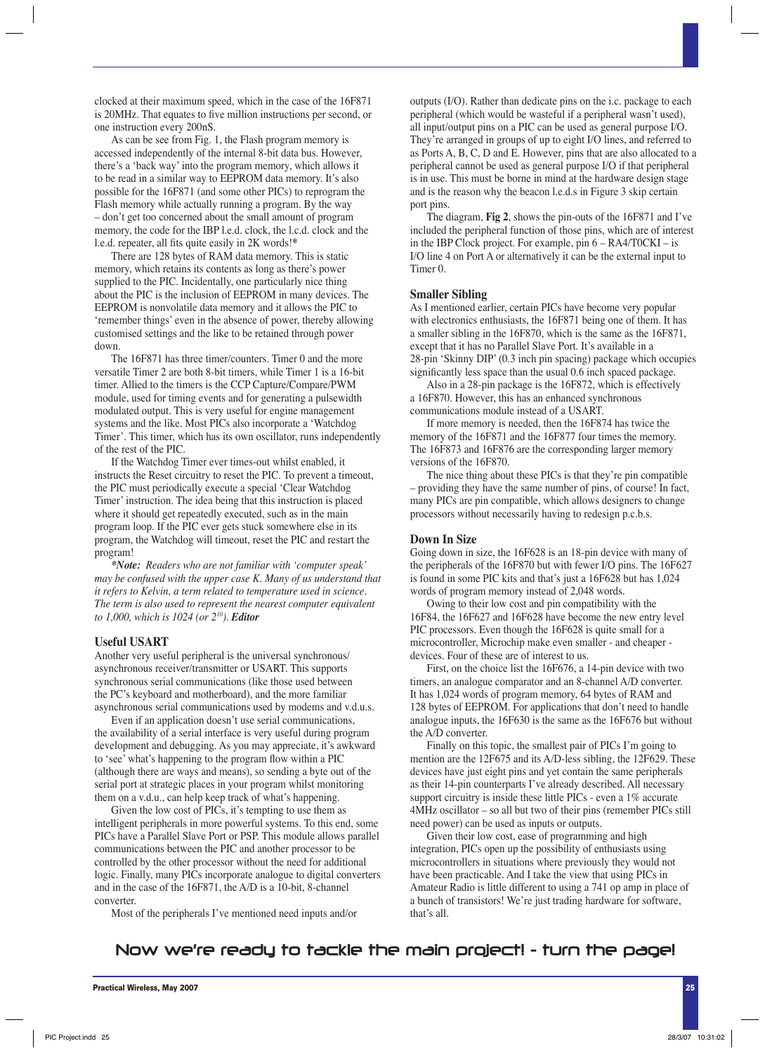clocked at their maximum speed, which in the case of the 16F871 is 20MHz. That equates to five million instructions per second, or one instruction every 200nS.

As can be see from Fig. 1, the Flash program memory is accessed independently of the internal 8-bit data bus. However, there's a 'back way' into the program memory, which allows it to be read in a similar way to EEPROM data memory. It's also possible for the 16F871 (and some other PICs) to reprogram the Flash memory while actually running a program. By the way – don't get too concerned about the small amount of program memory, the code for the IBP l.e.d. clock, the l.c.d. clock and the l.e.d. repeater, all fits quite easily in 2K words!\*

There are 128 bytes of RAM data memory. This is static memory, which retains its contents as long as there's power supplied to the PIC. Incidentally, one particularly nice thing about the PIC is the inclusion of EEPROM in many devices. The EEPROM is nonvolatile data memory and it allows the PIC to 'remember things' even in the absence of power, thereby allowing customised settings and the like to be retained through power down.

The 16F871 has three timer/counters. Timer 0 and the more versatile Timer 2 are both 8-bit timers, while Timer 1 is a 16-bit timer. Allied to the timers is the CCP Capture/Compare/PWM module, used for timing events and for generating a pulsewidth modulated output. This is very useful for engine management systems and the like. Most PICs also incorporate a 'Watchdog Timer'. This timer, which has its own oscillator, runs independently of the rest of the PIC.

If the Watchdog Timer ever times-out whilst enabled, it instructs the Reset circuitry to reset the PIC. To prevent a timeout, the PIC must periodically execute a special 'Clear Watchdog Timer' instruction. The idea being that this instruction is placed where it should get repeatedly executed, such as in the main program loop. If the PIC ever gets stuck somewhere else in its program, the Watchdog will timeout, reset the PIC and restart the program!

*\*Note: Readers who are not familiar with 'computer speak' may be confused with the upper case K. Many of us understand that it refers to Kelvin, a term related to temperature used in science. The term is also used to represent the nearest computer equivalent to 1,000, which is 1024 (or 210). Editor*

#### **Useful USART**

Another very useful peripheral is the universal synchronous/ asynchronous receiver/transmitter or USART. This supports synchronous serial communications (like those used between the PC's keyboard and motherboard), and the more familiar asynchronous serial communications used by modems and v.d.u.s.

Even if an application doesn't use serial communications, the availability of a serial interface is very useful during program development and debugging. As you may appreciate, it's awkward to 'see' what's happening to the program flow within a PIC (although there are ways and means), so sending a byte out of the serial port at strategic places in your program whilst monitoring them on a v.d.u., can help keep track of what's happening.

Given the low cost of PICs, it's tempting to use them as intelligent peripherals in more powerful systems. To this end, some PICs have a Parallel Slave Port or PSP. This module allows parallel communications between the PIC and another processor to be controlled by the other processor without the need for additional logic. Finally, many PICs incorporate analogue to digital converters and in the case of the 16F871, the A/D is a 10-bit, 8-channel converter.

Most of the peripherals I've mentioned need inputs and/or

outputs (I/O). Rather than dedicate pins on the i.c. package to each peripheral (which would be wasteful if a peripheral wasn't used), all input/output pins on a PIC can be used as general purpose I/O. They're arranged in groups of up to eight I/O lines, and referred to as Ports A, B, C, D and E. However, pins that are also allocated to a peripheral cannot be used as general purpose I/O if that peripheral is in use. This must be borne in mind at the hardware design stage and is the reason why the beacon l.e.d.s in Figure 3 skip certain port pins.

The diagram, **Fig 2**, shows the pin-outs of the 16F871 and I've included the peripheral function of those pins, which are of interest in the IBP Clock project. For example, pin 6 – RA4/T0CKI – is I/O line 4 on Port A or alternatively it can be the external input to Timer 0.

#### **Smaller Sibling**

As I mentioned earlier, certain PICs have become very popular with electronics enthusiasts, the 16F871 being one of them. It has a smaller sibling in the 16F870, which is the same as the 16F871, except that it has no Parallel Slave Port. It's available in a 28-pin 'Skinny DIP' (0.3 inch pin spacing) package which occupies significantly less space than the usual 0.6 inch spaced package.

Also in a 28-pin package is the 16F872, which is effectively a 16F870. However, this has an enhanced synchronous communications module instead of a USART.

If more memory is needed, then the 16F874 has twice the memory of the 16F871 and the 16F877 four times the memory. The 16F873 and 16F876 are the corresponding larger memory versions of the 16F870.

The nice thing about these PICs is that they're pin compatible – providing they have the same number of pins, of course! In fact, many PICs are pin compatible, which allows designers to change processors without necessarily having to redesign p.c.b.s.

#### **Down In Size**

Going down in size, the 16F628 is an 18-pin device with many of the peripherals of the 16F870 but with fewer I/O pins. The 16F627 is found in some PIC kits and that's just a 16F628 but has 1,024 words of program memory instead of 2,048 words.

Owing to their low cost and pin compatibility with the 16F84, the 16F627 and 16F628 have become the new entry level PIC processors. Even though the 16F628 is quite small for a microcontroller, Microchip make even smaller - and cheaper devices. Four of these are of interest to us.

First, on the choice list the 16F676, a 14-pin device with two timers, an analogue comparator and an 8-channel A/D converter. It has 1,024 words of program memory, 64 bytes of RAM and 128 bytes of EEPROM. For applications that don't need to handle analogue inputs, the 16F630 is the same as the 16F676 but without the A/D converter.

Finally on this topic, the smallest pair of PICs I'm going to mention are the 12F675 and its A/D-less sibling, the 12F629. These devices have just eight pins and yet contain the same peripherals as their 14-pin counterparts I've already described. All necessary support circuitry is inside these little PICs - even a 1% accurate 4MHz oscillator – so all but two of their pins (remember PICs still need power) can be used as inputs or outputs.

Given their low cost, ease of programming and high integration, PICs open up the possibility of enthusiasts using microcontrollers in situations where previously they would not have been practicable. And I take the view that using PICs in Amateur Radio is little different to using a 741 op amp in place of a bunch of transistors! We're just trading hardware for software, that's all.

#### Now we're ready to tackle the main project! - turn the page!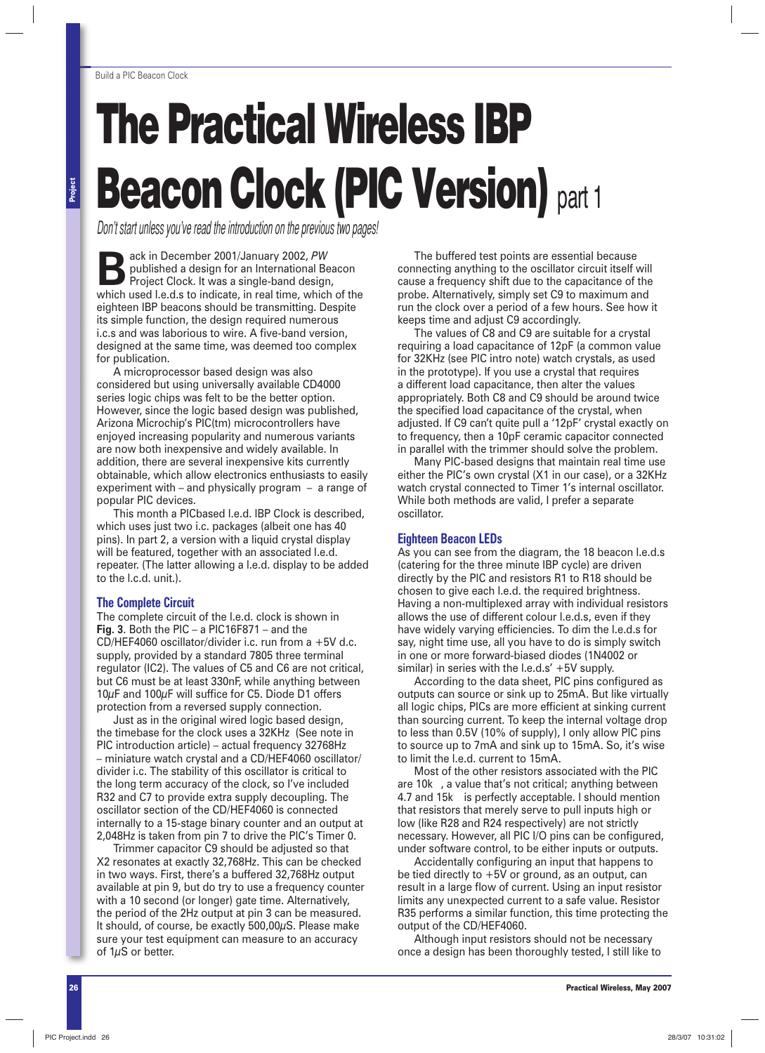## **The Practical Wireless IBP Beacon Clock (PIC Version)** part 1

*Don't start unless you've read the introduction on the previous two pages!*

**Back in December 2001/January 2002,** *PW*<br> **Back in December 2001/January 2002,** *PW***<br>
Project Clock. It was a single-band design,<br>
which used Lo d s to indicate in real time, which** published a design for an International Beacon which used l.e.d.s to indicate, in real time, which of the eighteen IBP beacons should be transmitting. Despite its simple function, the design required numerous i.c.s and was laborious to wire. A five-band version, designed at the same time, was deemed too complex for publication.

A microprocessor based design was also considered but using universally available CD4000 series logic chips was felt to be the better option. However, since the logic based design was published, Arizona Microchip's PIC(tm) microcontrollers have enjoyed increasing popularity and numerous variants are now both inexpensive and widely available. In addition, there are several inexpensive kits currently obtainable, which allow electronics enthusiasts to easily experiment with – and physically program – a range of popular PIC devices.

This month a PICbased l.e.d. IBP Clock is described, which uses just two i.c. packages (albeit one has 40 pins). In part 2, a version with a liquid crystal display will be featured, together with an associated l.e.d. repeater. (The latter allowing a l.e.d. display to be added to the l.c.d. unit.).

#### **The Complete Circuit**

The complete circuit of the l.e.d. clock is shown in **Fig. 3**. Both the PIC – a PIC16F871 – and the CD/HEF4060 oscillator/divider i.c. run from a +5V d.c. supply, provided by a standard 7805 three terminal regulator (IC2). The values of C5 and C6 are not critical, but C6 must be at least 330nF, while anything between  $10\mu$ F and  $100\mu$ F will suffice for C5. Diode D1 offers protection from a reversed supply connection.

Just as in the original wired logic based design, the timebase for the clock uses a 32KHz (See note in PIC introduction article) – actual frequency 32768Hz – miniature watch crystal and a CD/HEF4060 oscillator/ divider i.c. The stability of this oscillator is critical to the long term accuracy of the clock, so I've included R32 and C7 to provide extra supply decoupling. The oscillator section of the CD/HEF4060 is connected internally to a 15-stage binary counter and an output at 2,048Hz is taken from pin 7 to drive the PIC's Timer 0.

Trimmer capacitor C9 should be adjusted so that X2 resonates at exactly 32,768Hz. This can be checked in two ways. First, there's a buffered 32,768Hz output available at pin 9, but do try to use a frequency counter with a 10 second (or longer) gate time. Alternatively, the period of the 2Hz output at pin 3 can be measured. It should, of course, be exactly 500,00µS. Please make sure your test equipment can measure to an accuracy of 1µS or better.

The buffered test points are essential because connecting anything to the oscillator circuit itself will cause a frequency shift due to the capacitance of the probe. Alternatively, simply set C9 to maximum and run the clock over a period of a few hours. See how it keeps time and adjust C9 accordingly.

The values of C8 and C9 are suitable for a crystal requiring a load capacitance of 12pF (a common value for 32KHz (see PIC intro note) watch crystals, as used in the prototype). If you use a crystal that requires a different load capacitance, then alter the values appropriately. Both C8 and C9 should be around twice the specified load capacitance of the crystal, when adjusted. If C9 can't quite pull a '12pF' crystal exactly on to frequency, then a 10pF ceramic capacitor connected in parallel with the trimmer should solve the problem.

Many PIC-based designs that maintain real time use either the PIC's own crystal (X1 in our case), or a 32KHz watch crystal connected to Timer 1's internal oscillator. While both methods are valid, I prefer a separate oscillator.

#### **Eighteen Beacon LEDs**

As you can see from the diagram, the 18 beacon l.e.d.s (catering for the three minute IBP cycle) are driven directly by the PIC and resistors R1 to R18 should be chosen to give each l.e.d. the required brightness. Having a non-multiplexed array with individual resistors allows the use of different colour l.e.d.s, even if they have widely varying efficiencies. To dim the l.e.d.s for say, night time use, all you have to do is simply switch in one or more forward-biased diodes (1N4002 or similar) in series with the l.e.d.s' +5V supply.

According to the data sheet, PIC pins configured as outputs can source or sink up to 25mA. But like virtually all logic chips, PICs are more efficient at sinking current than sourcing current. To keep the internal voltage drop to less than 0.5V (10% of supply), I only allow PIC pins to source up to 7mA and sink up to 15mA. So, it's wise to limit the l.e.d. current to 15mA.

Most of the other resistors associated with the PIC are 10k , a value that's not critical; anything between 4.7 and 15k is perfectly acceptable. I should mention that resistors that merely serve to pull inputs high or low (like R28 and R24 respectively) are not strictly necessary. However, all PIC I/O pins can be configured, under software control, to be either inputs or outputs.

Accidentally configuring an input that happens to be tied directly to +5V or ground, as an output, can result in a large flow of current. Using an input resistor limits any unexpected current to a safe value. Resistor R35 performs a similar function, this time protecting the output of the CD/HEF4060.

Although input resistors should not be necessary once a design has been thoroughly tested, I still like to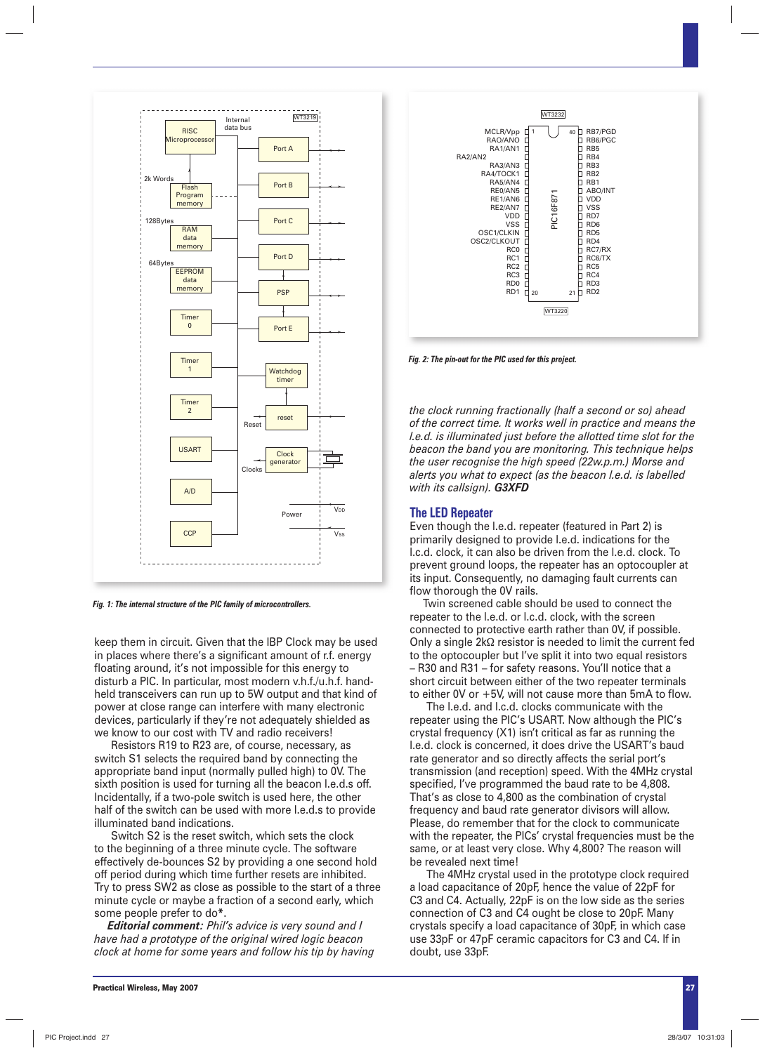

*Fig. 1: The internal structure of the PIC family of microcontrollers.*

keep them in circuit. Given that the IBP Clock may be used in places where there's a significant amount of r.f. energy floating around, it's not impossible for this energy to disturb a PIC. In particular, most modern v.h.f./u.h.f. handheld transceivers can run up to 5W output and that kind of power at close range can interfere with many electronic devices, particularly if they're not adequately shielded as we know to our cost with TV and radio receivers!

Resistors R19 to R23 are, of course, necessary, as switch S1 selects the required band by connecting the appropriate band input (normally pulled high) to 0V. The sixth position is used for turning all the beacon l.e.d.s off. Incidentally, if a two-pole switch is used here, the other half of the switch can be used with more l.e.d.s to provide illuminated band indications.

Switch S2 is the reset switch, which sets the clock to the beginning of a three minute cycle. The software effectively de-bounces S2 by providing a one second hold off period during which time further resets are inhibited. Try to press SW2 as close as possible to the start of a three minute cycle or maybe a fraction of a second early, which some people prefer to do**\***.

*Editorial comment: Phil's advice is very sound and I have had a prototype of the original wired logic beacon clock at home for some years and follow his tip by having* 



*Fig. 2: The pin-out for the PIC used for this project.*

*the clock running fractionally (half a second or so) ahead of the correct time. It works well in practice and means the l.e.d. is illuminated just before the allotted time slot for the beacon the band you are monitoring. This technique helps the user recognise the high speed (22w.p.m.) Morse and alerts you what to expect (as the beacon l.e.d. is labelled with its callsign). G3XFD*

#### **The LED Repeater**

Even though the l.e.d. repeater (featured in Part 2) is primarily designed to provide l.e.d. indications for the l.c.d. clock, it can also be driven from the l.e.d. clock. To prevent ground loops, the repeater has an optocoupler at its input. Consequently, no damaging fault currents can flow thorough the 0V rails.

Twin screened cable should be used to connect the repeater to the l.e.d. or l.c.d. clock, with the screen connected to protective earth rather than 0V, if possible. Only a single 2kΩ resistor is needed to limit the current fed to the optocoupler but I've split it into two equal resistors – R30 and R31 – for safety reasons. You'll notice that a short circuit between either of the two repeater terminals to either 0V or  $+5V$ , will not cause more than 5mA to flow.

The l.e.d. and l.c.d. clocks communicate with the repeater using the PIC's USART. Now although the PIC's crystal frequency (X1) isn't critical as far as running the l.e.d. clock is concerned, it does drive the USART's baud rate generator and so directly affects the serial port's transmission (and reception) speed. With the 4MHz crystal specified, I've programmed the baud rate to be 4,808. That's as close to 4,800 as the combination of crystal frequency and baud rate generator divisors will allow. Please, do remember that for the clock to communicate with the repeater, the PICs' crystal frequencies must be the same, or at least very close. Why 4,800? The reason will be revealed next time!

The 4MHz crystal used in the prototype clock required a load capacitance of 20pF, hence the value of 22pF for C3 and C4. Actually, 22pF is on the low side as the series connection of C3 and C4 ought be close to 20pF. Many crystals specify a load capacitance of 30pF, in which case use 33pF or 47pF ceramic capacitors for C3 and C4. If in doubt, use 33pF.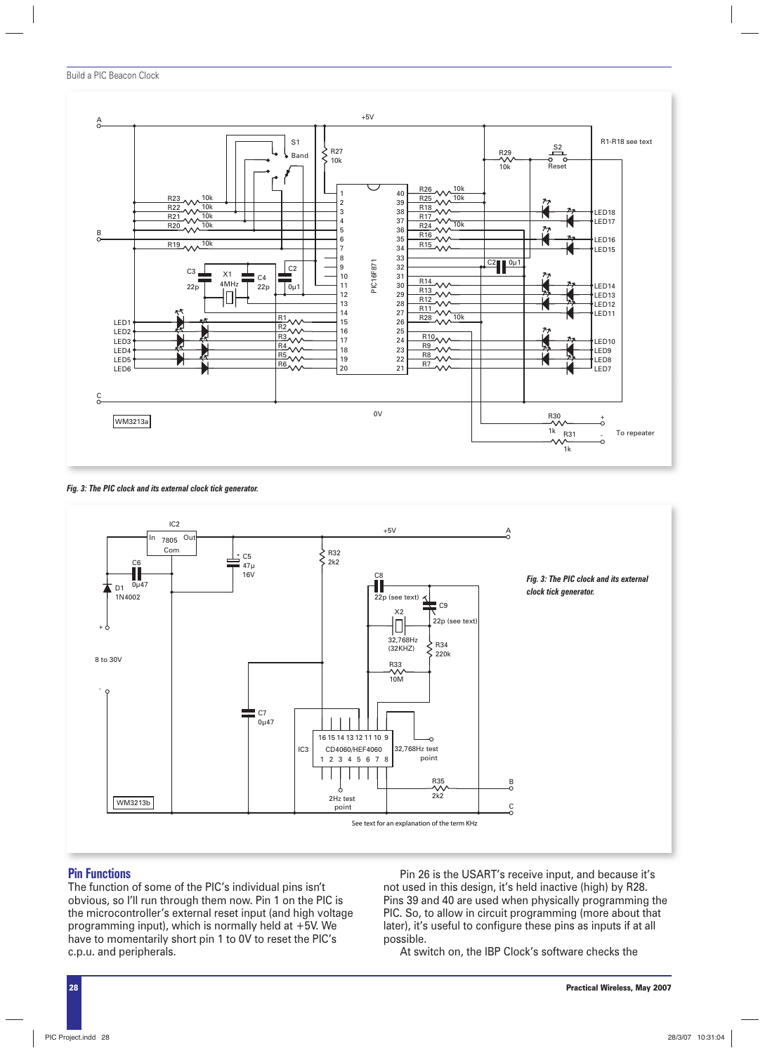

*Fig. 3: The PIC clock and its external clock tick generator.*



#### **Pin Functions**

The function of some of the PIC's individual pins isn't obvious, so I'll run through them now. Pin 1 on the PIC is the microcontroller's external reset input (and high voltage programming input), which is normally held at +5V. We have to momentarily short pin 1 to 0V to reset the PIC's c.p.u. and peripherals.

Pin 26 is the USART's receive input, and because it's not used in this design, it's held inactive (high) by R28. Pins 39 and 40 are used when physically programming the PIC. So, to allow in circuit programming (more about that later), it's useful to configure these pins as inputs if at all possible.

At switch on, the IBP Clock's software checks the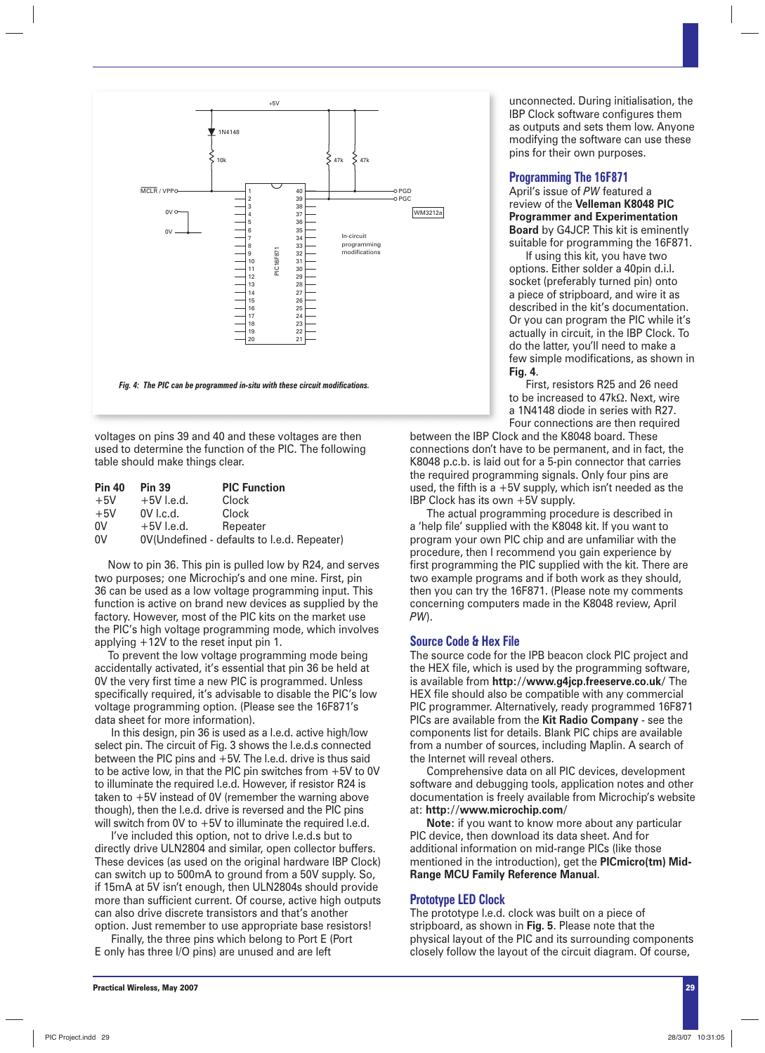

voltages on pins 39 and 40 and these voltages are then used to determine the function of the PIC. The following table should make things clear.

| <b>Pin 40</b> | <b>Pin 39</b> | <b>PIC Function</b>                         |
|---------------|---------------|---------------------------------------------|
| $+5V$         | $+5V$ l.e.d.  | Clock                                       |
| $+5V$         | 0V I.c.d.     | Clock                                       |
| 0V            | $+5V$ l.e.d.  | Repeater                                    |
| 0V            |               | 0V(Undefined - defaults to l.e.d. Repeater) |

Now to pin 36. This pin is pulled low by R24, and serves two purposes; one Microchip's and one mine. First, pin 36 can be used as a low voltage programming input. This function is active on brand new devices as supplied by the factory. However, most of the PIC kits on the market use the PIC's high voltage programming mode, which involves applying +12V to the reset input pin 1.

To prevent the low voltage programming mode being accidentally activated, it's essential that pin 36 be held at 0V the very first time a new PIC is programmed. Unless specifically required, it's advisable to disable the PIC's low voltage programming option. (Please see the 16F871's data sheet for more information).

In this design, pin 36 is used as a l.e.d. active high/low select pin. The circuit of Fig. 3 shows the l.e.d.s connected between the PIC pins and +5V. The l.e.d. drive is thus said to be active low, in that the PIC pin switches from +5V to 0V to illuminate the required l.e.d. However, if resistor R24 is taken to +5V instead of 0V (remember the warning above though), then the l.e.d. drive is reversed and the PIC pins will switch from 0V to +5V to illuminate the required l.e.d.

I've included this option, not to drive l.e.d.s but to directly drive ULN2804 and similar, open collector buffers. These devices (as used on the original hardware IBP Clock) can switch up to 500mA to ground from a 50V supply. So, if 15mA at 5V isn't enough, then ULN2804s should provide more than sufficient current. Of course, active high outputs can also drive discrete transistors and that's another option. Just remember to use appropriate base resistors!

Finally, the three pins which belong to Port E (Port E only has three I/O pins) are unused and are left

unconnected. During initialisation, the IBP Clock software configures them as outputs and sets them low. Anyone modifying the software can use these pins for their own purposes.

#### **Programming The 16F871**

April's issue of *PW* featured a review of the **Velleman K8048 PIC Programmer and Experimentation Board** by G4JCP. This kit is eminently suitable for programming the 16F871.

If using this kit, you have two options. Either solder a 40pin d.i.l. socket (preferably turned pin) onto a piece of stripboard, and wire it as described in the kit's documentation. Or you can program the PIC while it's actually in circuit, in the IBP Clock. To do the latter, you'll need to make a few simple modifications, as shown in **Fig. 4**.

First, resistors R25 and 26 need to be increased to 47kΩ. Next, wire a 1N4148 diode in series with R27. Four connections are then required

between the IBP Clock and the K8048 board. These connections don't have to be permanent, and in fact, the K8048 p.c.b. is laid out for a 5-pin connector that carries the required programming signals. Only four pins are used, the fifth is a  $+5V$  supply, which isn't needed as the IBP Clock has its own +5V supply.

The actual programming procedure is described in a 'help file' supplied with the K8048 kit. If you want to program your own PIC chip and are unfamiliar with the procedure, then I recommend you gain experience by first programming the PIC supplied with the kit. There are two example programs and if both work as they should, then you can try the 16F871. (Please note my comments concerning computers made in the K8048 review, April *PW*).

#### **Source Code & Hex File**

The source code for the IPB beacon clock PIC project and the HEX file, which is used by the programming software, is available from **http://www.g4jcp.freeserve.co.uk/** The HEX file should also be compatible with any commercial PIC programmer. Alternatively, ready programmed 16F871 PICs are available from the **Kit Radio Company** - see the components list for details. Blank PIC chips are available from a number of sources, including Maplin. A search of the Internet will reveal others.

Comprehensive data on all PIC devices, development software and debugging tools, application notes and other documentation is freely available from Microchip's website at: **http://www.microchip.com/**

**Note:** if you want to know more about any particular PIC device, then download its data sheet. And for additional information on mid-range PICs (like those mentioned in the introduction), get the **PICmicro(tm) Mid-Range MCU Family Reference Manual**.

#### **Prototype LED Clock**

The prototype l.e.d. clock was built on a piece of stripboard, as shown in **Fig. 5**. Please note that the physical layout of the PIC and its surrounding components closely follow the layout of the circuit diagram. Of course,